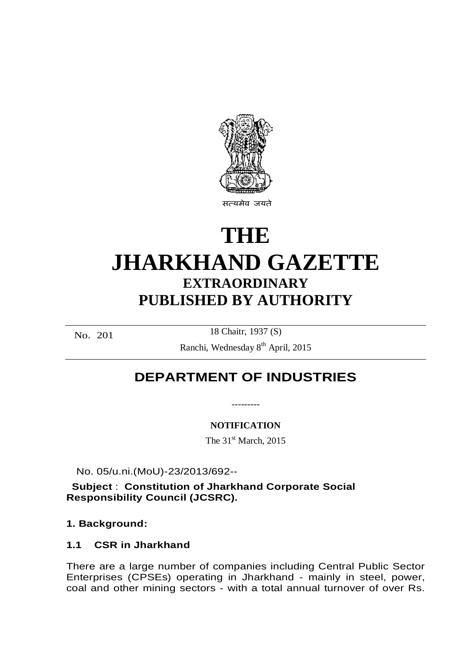

# **THE JHARKHAND GAZETTE EXTRAORDINARY PUBLISHED BY AUTHORITY**

No. 201

18 Chaitr, 1937 (S)

Ranchi, Wednesday 8<sup>th</sup> April, 2015

## **DEPARTMENT OF INDUSTRIES**

**NOTIFICATION**

The  $31<sup>st</sup>$  March, 2015

No. 05/u.ni.(MoU)-23/2013/692--

**Subject** : **Constitution of Jharkhand Corporate Social Responsibility Council (JCSRC).**

**1. Background:**

## **1.1 CSR in Jharkhand**

There are a large number of companies including Central Public Sector Enterprises (CPSEs) operating in Jharkhand - mainly in steel, power, coal and other mining sectors - with a total annual turnover of over Rs.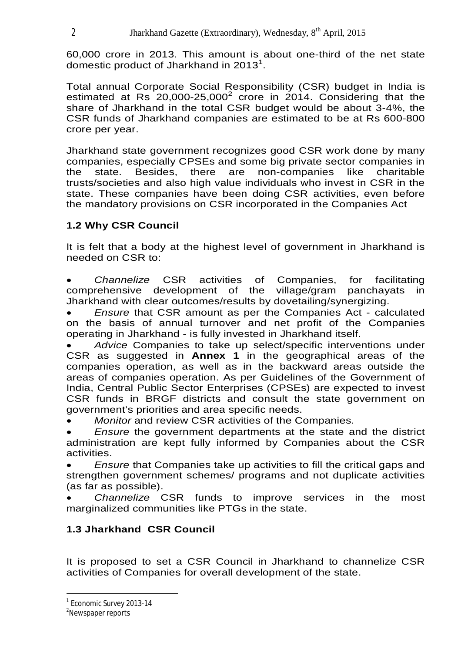60,000 crore in 2013. This amount is about one-third of the net state domestic product of Jharkhand in 2013<sup>1</sup>.

Total annual Corporate Social Responsibility (CSR) budget in India is estimated at Rs  $20,000$ -25,000<sup>2</sup> crore in  $2014$ . Considering that the share of Jharkhand in the total CSR budget would be about 3-4%, the CSR funds of Jharkhand companies are estimated to be at Rs 600-800 crore per year.

Jharkhand state government recognizes good CSR work done by many companies, especially CPSEs and some big private sector companies in the state. Besides, there are non-companies like charitable trusts/societies and also high value individuals who invest in CSR in the state. These companies have been doing CSR activities, even before the mandatory provisions on CSR incorporated in the Companies Act

## **1.2 Why CSR Council**

It is felt that a body at the highest level of government in Jharkhand is needed on CSR to:

 *Channelize* CSR activities of Companies, for facilitating comprehensive development of the village/gram panchayats in Jharkhand with clear outcomes/results by dovetailing/synergizing.

 *Ensure* that CSR amount as per the Companies Act - calculated on the basis of annual turnover and net profit of the Companies operating in Jharkhand - is fully invested in Jharkhand itself.

 *Advice* Companies to take up select/specific interventions under CSR as suggested in **Annex 1** in the geographical areas of the companies operation, as well as in the backward areas outside the areas of companies operation. As per Guidelines of the Government of India, Central Public Sector Enterprises (CPSEs) are expected to invest CSR funds in BRGF districts and consult the state government on government's priorities and area specific needs.

*Monitor* and review CSR activities of the Companies.

 *Ensure* the government departments at the state and the district administration are kept fully informed by Companies about the CSR activities.

 *Ensure* that Companies take up activities to fill the critical gaps and strengthen government schemes/ programs and not duplicate activities (as far as possible).

 *Channelize* CSR funds to improve services in the most marginalized communities like PTGs in the state.

## **1.3 Jharkhand CSR Council**

It is proposed to set a CSR Council in Jharkhand to channelize CSR activities of Companies for overall development of the state.

 $\overline{a}$ <sup>1</sup> Economic Survey 2013-14

<sup>&</sup>lt;sup>2</sup>Newspaper reports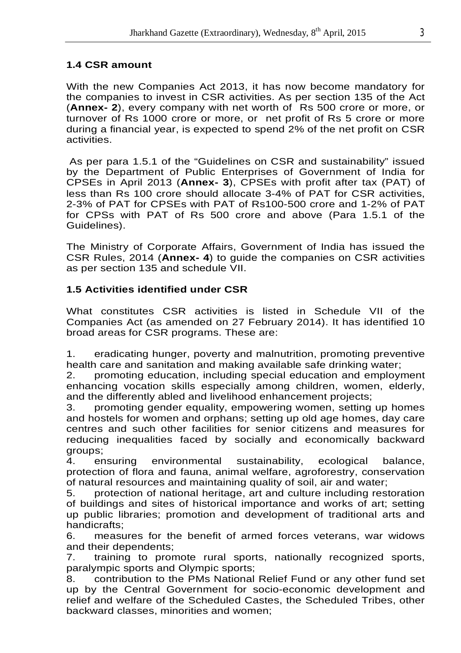## **1.4 CSR amount**

With the new Companies Act 2013, it has now become mandatory for the companies to invest in CSR activities. As per section 135 of the Act (**Annex- 2**), every company with net worth of Rs 500 crore or more, or turnover of Rs 1000 crore or more, or net profit of Rs 5 crore or more during a financial year, is expected to spend 2% of the net profit on CSR activities.

As per para 1.5.1 of the "Guidelines on CSR and sustainability" issued by the Department of Public Enterprises of Government of India for CPSEs in April 2013 (**Annex- 3**), CPSEs with profit after tax (PAT) of less than Rs 100 crore should allocate 3-4% of PAT for CSR activities, 2-3% of PAT for CPSEs with PAT of Rs100-500 crore and 1-2% of PAT for CPSs with PAT of Rs 500 crore and above (Para 1.5.1 of the Guidelines).

The Ministry of Corporate Affairs, Government of India has issued the CSR Rules, 2014 (**Annex- 4**) to guide the companies on CSR activities as per section 135 and schedule VII.

## **1.5 Activities identified under CSR**

What constitutes CSR activities is listed in Schedule VII of the Companies Act (as amended on 27 February 2014). It has identified 10 broad areas for CSR programs. These are:

1. eradicating hunger, poverty and malnutrition, promoting preventive health care and sanitation and making available safe drinking water;

2. promoting education, including special education and employment enhancing vocation skills especially among children, women, elderly, and the differently abled and livelihood enhancement projects;

3. promoting gender equality, empowering women, setting up homes and hostels for women and orphans; setting up old age homes, day care centres and such other facilities for senior citizens and measures for reducing inequalities faced by socially and economically backward groups;

4. ensuring environmental sustainability, ecological balance, protection of flora and fauna, animal welfare, agroforestry, conservation of natural resources and maintaining quality of soil, air and water;

5. protection of national heritage, art and culture including restoration of buildings and sites of historical importance and works of art; setting up public libraries; promotion and development of traditional arts and handicrafts;

6. measures for the benefit of armed forces veterans, war widows and their dependents;

7. training to promote rural sports, nationally recognized sports, paralympic sports and Olympic sports;

8. contribution to the PMs National Relief Fund or any other fund set up by the Central Government for socio-economic development and relief and welfare of the Scheduled Castes, the Scheduled Tribes, other backward classes, minorities and women;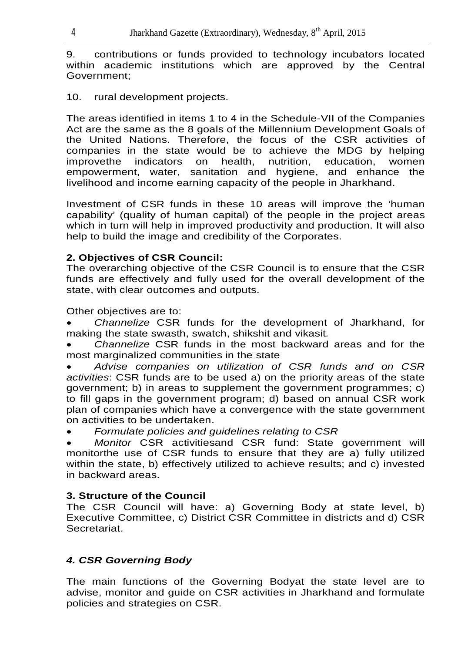9. contributions or funds provided to technology incubators located within academic institutions which are approved by the Central Government;

10. rural development projects.

The areas identified in items 1 to 4 in the Schedule-VII of the Companies Act are the same as the 8 goals of the Millennium Development Goals of the United Nations. Therefore, the focus of the CSR activities of companies in the state would be to achieve the MDG by helping improvethe indicators on health, nutrition, education, women empowerment, water, sanitation and hygiene, and enhance the livelihood and income earning capacity of the people in Jharkhand.

Investment of CSR funds in these 10 areas will improve the 'human capability' (quality of human capital) of the people in the project areas which in turn will help in improved productivity and production. It will also help to build the image and credibility of the Corporates.

## **2. Objectives of CSR Council:**

The overarching objective of the CSR Council is to ensure that the CSR funds are effectively and fully used for the overall development of the state, with clear outcomes and outputs.

Other objectives are to:

 *Channelize* CSR funds for the development of Jharkhand, for making the state swasth, swatch, shikshit and vikasit*.*

 *Channelize* CSR funds in the most backward areas and for the most marginalized communities in the state

 *Advise companies on utilization of CSR funds and on CSR activities*: CSR funds are to be used a) on the priority areas of the state government; b) in areas to supplement the government programmes; c) to fill gaps in the government program; d) based on annual CSR work plan of companies which have a convergence with the state government on activities to be undertaken.

*Formulate policies and guidelines relating to CSR*

 *Monitor* CSR activitiesand CSR fund: State government will monitorthe use of CSR funds to ensure that they are a) fully utilized within the state, b) effectively utilized to achieve results; and c) invested in backward areas.

## **3. Structure of the Council**

The CSR Council will have: a) Governing Body at state level, b) Executive Committee, c) District CSR Committee in districts and d) CSR Secretariat.

## *4. CSR Governing Body*

The main functions of the Governing Bodyat the state level are to advise, monitor and guide on CSR activities in Jharkhand and formulate policies and strategies on CSR.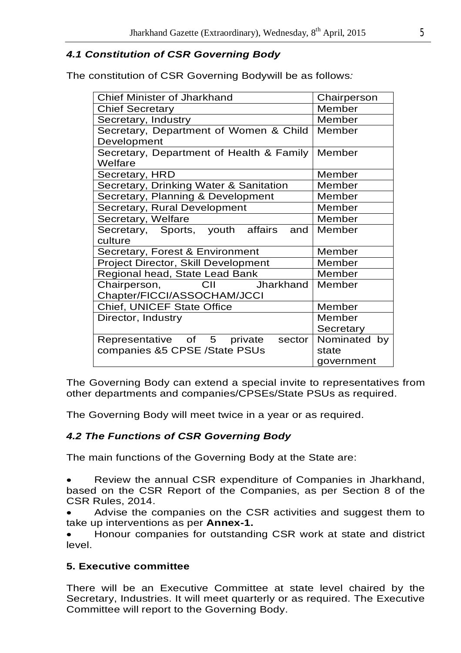## *4.1 Constitution of CSR Governing Body*

The constitution of CSR Governing Bodywill be as follows*:* 

| <b>Chief Minister of Jharkhand</b>       | Chairperson  |  |  |
|------------------------------------------|--------------|--|--|
| <b>Chief Secretary</b>                   | Member       |  |  |
| Secretary, Industry                      | Member       |  |  |
| Secretary, Department of Women & Child   | Member       |  |  |
| Development                              |              |  |  |
| Secretary, Department of Health & Family | Member       |  |  |
| Welfare                                  |              |  |  |
| Secretary, HRD                           | Member       |  |  |
| Secretary, Drinking Water & Sanitation   | Member       |  |  |
| Secretary, Planning & Development        | Member       |  |  |
| Secretary, Rural Development             | Member       |  |  |
| Secretary, Welfare                       | Member       |  |  |
| Secretary, Sports, youth affairs<br>and  | Member       |  |  |
| culture                                  |              |  |  |
| Secretary, Forest & Environment          | Member       |  |  |
| Project Director, Skill Development      | Member       |  |  |
| Regional head, State Lead Bank           | Member       |  |  |
| Chairperson,<br>Jharkhand<br>CII         | Member       |  |  |
| Chapter/FICCI/ASSOCHAM/JCCI              |              |  |  |
| <b>Chief, UNICEF State Office</b>        | Member       |  |  |
| Director, Industry                       | Member       |  |  |
|                                          | Secretary    |  |  |
| Representative of 5<br>private<br>sector | Nominated by |  |  |
| companies &5 CPSE /State PSUs            | state        |  |  |
|                                          | government   |  |  |

The Governing Body can extend a special invite to representatives from other departments and companies/CPSEs/State PSUs as required.

The Governing Body will meet twice in a year or as required.

## *4.2 The Functions of CSR Governing Body*

The main functions of the Governing Body at the State are:

 Review the annual CSR expenditure of Companies in Jharkhand, based on the CSR Report of the Companies, as per Section 8 of the CSR Rules, 2014.

 Advise the companies on the CSR activities and suggest them to take up interventions as per **Annex-1.**

 Honour companies for outstanding CSR work at state and district level.

## **5. Executive committee**

There will be an Executive Committee at state level chaired by the Secretary, Industries. It will meet quarterly or as required. The Executive Committee will report to the Governing Body.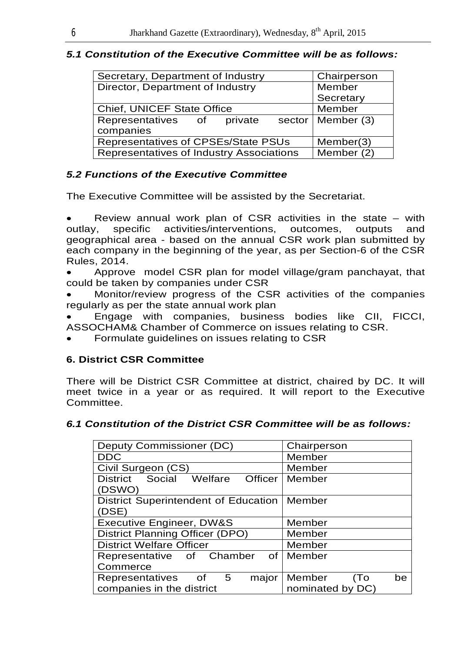## *5.1 Constitution of the Executive Committee will be as follows:*

| Secretary, Department of Industry        | Chairperson           |
|------------------------------------------|-----------------------|
| Director, Department of Industry         | Member                |
|                                          | Secretary             |
| <b>Chief, UNICEF State Office</b>        | Member                |
| Representatives of<br>private            | sector   Member $(3)$ |
| companies                                |                       |
| Representatives of CPSEs/State PSUs      | Member(3)             |
| Representatives of Industry Associations | Member (2)            |

## *5.2 Functions of the Executive Committee*

The Executive Committee will be assisted by the Secretariat.

• Review annual work plan of CSR activities in the state – with outlay, specific activities/interventions, outcomes, outputs and outlay, specific activities/interventions, outcomes, outputs and geographical area - based on the annual CSR work plan submitted by each company in the beginning of the year, as per Section-6 of the CSR Rules, 2014.

 Approve model CSR plan for model village/gram panchayat, that could be taken by companies under CSR

 Monitor/review progress of the CSR activities of the companies regularly as per the state annual work plan

 Engage with companies, business bodies like CII, FICCI, ASSOCHAM& Chamber of Commerce on issues relating to CSR.

Formulate guidelines on issues relating to CSR

## **6. District CSR Committee**

There will be District CSR Committee at district, chaired by DC. It will meet twice in a year or as required. It will report to the Executive Committee.

## *6.1 Constitution of the District CSR Committee will be as follows:*

| <b>Deputy Commissioner (DC)</b>                     | Chairperson         |
|-----------------------------------------------------|---------------------|
| <b>DDC</b>                                          | Member              |
| Civil Surgeon (CS)                                  | Member              |
| <b>Officer</b><br><b>District</b><br>Social Welfare | Member              |
| (DSWO)                                              |                     |
| District Superintendent of Education   Member       |                     |
| (DSE)                                               |                     |
| <b>Executive Engineer, DW&amp;S</b>                 | Member              |
| District Planning Officer (DPO)                     | Member              |
| <b>District Welfare Officer</b>                     | Member              |
| of<br>Representative of Chamber                     | Member              |
| Commerce                                            |                     |
| Representatives<br>- 5<br>major<br>of               | Member<br>be<br>(To |
| companies in the district                           | nominated by DC)    |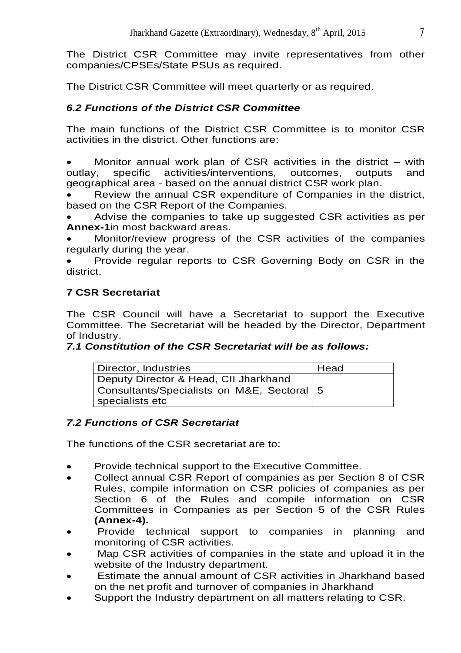The District CSR Committee may invite representatives from other companies/CPSEs/State PSUs as required.

The District CSR Committee will meet quarterly or as required.

## *6.2 Functions of the District CSR Committee*

The main functions of the District CSR Committee is to monitor CSR activities in the district. Other functions are:

 Monitor annual work plan of CSR activities in the district – with outlay, specific activities/interventions, outcomes, outputs and geographical area - based on the annual district CSR work plan.

 Review the annual CSR expenditure of Companies in the district, based on the CSR Report of the Companies.

 Advise the companies to take up suggested CSR activities as per **Annex-1**in most backward areas.

 Monitor/review progress of the CSR activities of the companies regularly during the year.

 Provide regular reports to CSR Governing Body on CSR in the district.

## **7 CSR Secretariat**

The CSR Council will have a Secretariat to support the Executive Committee. The Secretariat will be headed by the Director, Department of Industry.

## *7.1 Constitution of the CSR Secretariat will be as follows:*

| Director, Industries                         | Head |
|----------------------------------------------|------|
| Deputy Director & Head, CII Jharkhand        |      |
| Consultants/Specialists on M&E, Sectoral   5 |      |
| specialists etc                              |      |

## *7.2 Functions of CSR Secretariat*

The functions of the CSR secretariat are to:

- Provide technical support to the Executive Committee.
- Collect annual CSR Report of companies as per Section 8 of CSR Rules, compile information on CSR policies of companies as per Section 6 of the Rules and compile information on CSR Committees in Companies as per Section 5 of the CSR Rules **(Annex-4).**
- Provide technical support to companies in planning and monitoring of CSR activities.
- Map CSR activities of companies in the state and upload it in the website of the Industry department.
- Estimate the annual amount of CSR activities in Jharkhand based on the net profit and turnover of companies in Jharkhand
- Support the Industry department on all matters relating to CSR.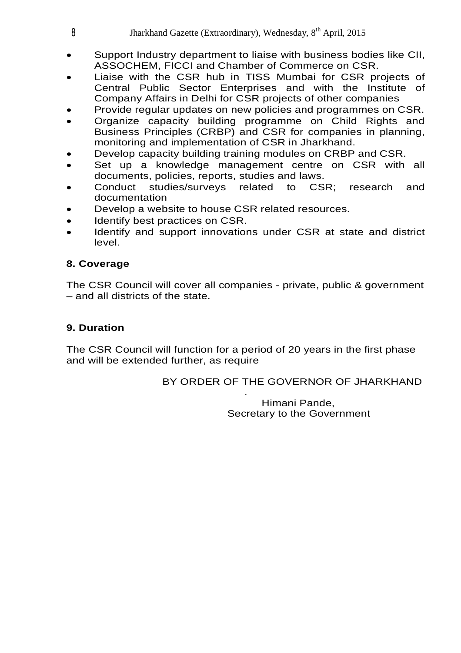| Jharkhand Gazette (Extraordinary), Wednesday, 8 <sup>th</sup> April, 2015 |
|---------------------------------------------------------------------------|
|                                                                           |

- Support Industry department to liaise with business bodies like CII, ASSOCHEM, FICCI and Chamber of Commerce on CSR.
- Liaise with the CSR hub in TISS Mumbai for CSR projects of Central Public Sector Enterprises and with the Institute of Company Affairs in Delhi for CSR projects of other companies
- Provide regular updates on new policies and programmes on CSR.
- Organize capacity building programme on Child Rights and Business Principles (CRBP) and CSR for companies in planning, monitoring and implementation of CSR in Jharkhand.
- Develop capacity building training modules on CRBP and CSR.
- Set up a knowledge management centre on CSR with all documents, policies, reports, studies and laws.
- Conduct studies/surveys related to CSR; research and documentation
- Develop a website to house CSR related resources.
- Identify best practices on CSR.
- Identify and support innovations under CSR at state and district level.

#### **8. Coverage**

The CSR Council will cover all companies - private, public & government – and all districts of the state.

#### **9. Duration**

The CSR Council will function for a period of 20 years in the first phase and will be extended further, as require

> BY ORDER OF THE GOVERNOR OF JHARKHAND .

> > Himani Pande, Secretary to the Government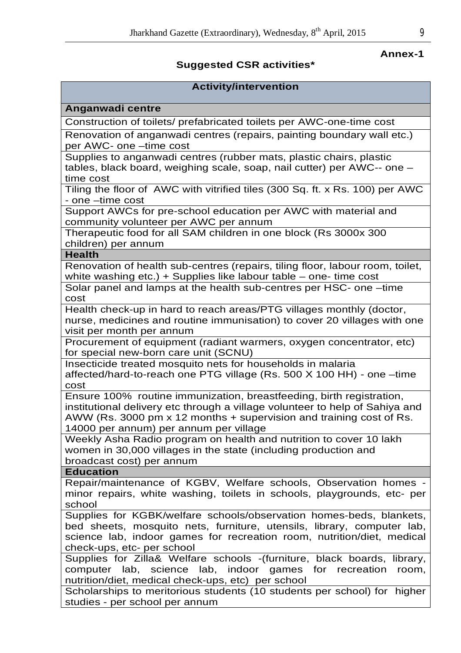#### *Annex-1* **Annex-1**

#### **Suggested CSR activities\***

#### **Activity/intervention Anganwadi centre** Construction of toilets/ prefabricated toilets per AWC-one-time cost Renovation of anganwadi centres (repairs, painting boundary wall etc.) per AWC- one –time cost Supplies to anganwadi centres (rubber mats, plastic chairs, plastic tables, black board, weighing scale, soap, nail cutter) per AWC-- one – time cost Tiling the floor of AWC with vitrified tiles (300 Sq. ft. x Rs. 100) per AWC - one –time cost Support AWCs for pre-school education per AWC with material and community volunteer per AWC per annum Therapeutic food for all SAM children in one block (Rs 3000x 300 children) per annum **Health** Renovation of health sub-centres (repairs, tiling floor, labour room, toilet, white washing etc.) + Supplies like labour table – one- time cost Solar panel and lamps at the health sub-centres per HSC- one –time cost Health check-up in hard to reach areas/PTG villages monthly (doctor, nurse, medicines and routine immunisation) to cover 20 villages with one visit per month per annum Procurement of equipment (radiant warmers, oxygen concentrator, etc) for special new-born care unit (SCNU) Insecticide treated mosquito nets for households in malaria affected/hard-to-reach one PTG village (Rs. 500 X 100 HH) - one –time cost Ensure 100% routine immunization, breastfeeding, birth registration, institutional delivery etc through a village volunteer to help of Sahiya and AWW (Rs. 3000 pm x 12 months + supervision and training cost of Rs. 14000 per annum) per annum per village Weekly Asha Radio program on health and nutrition to cover 10 lakh women in 30,000 villages in the state (including production and broadcast cost) per annum **Education** Repair/maintenance of KGBV, Welfare schools, Observation homes minor repairs, white washing, toilets in schools, playgrounds, etc- per school Supplies for KGBK/welfare schools/observation homes-beds, blankets, bed sheets, mosquito nets, furniture, utensils, library, computer lab, science lab, indoor games for recreation room, nutrition/diet, medical check-ups, etc- per school Supplies for Zilla& Welfare schools -(furniture, black boards, library, computer lab, science lab, indoor games for recreation room, nutrition/diet, medical check-ups, etc) per school Scholarships to meritorious students (10 students per school) for higher studies - per school per annum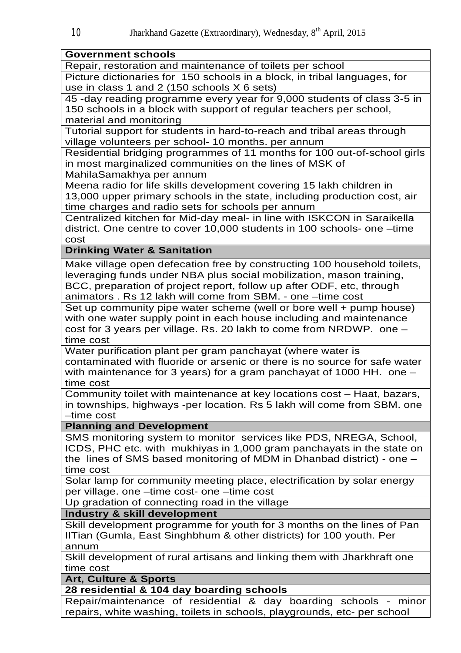#### **Government schools**

Repair, restoration and maintenance of toilets per school

Picture dictionaries for 150 schools in a block, in tribal languages, for use in class 1 and 2 (150 schools X 6 sets)

45 -day reading programme every year for 9,000 students of class 3-5 in 150 schools in a block with support of regular teachers per school, material and monitoring

Tutorial support for students in hard-to-reach and tribal areas through village volunteers per school- 10 months. per annum

Residential bridging programmes of 11 months for 100 out-of-school girls in most marginalized communities on the lines of MSK of MahilaSamakhya per annum

Meena radio for life skills development covering 15 lakh children in 13,000 upper primary schools in the state, including production cost, air time charges and radio sets for schools per annum

Centralized kitchen for Mid-day meal- in line with ISKCON in Saraikella district. One centre to cover 10,000 students in 100 schools- one –time cost

## **Drinking Water & Sanitation**

Make village open defecation free by constructing 100 household toilets, leveraging funds under NBA plus social mobilization, mason training, BCC, preparation of project report, follow up after ODF, etc, through animators . Rs 12 lakh will come from SBM. - one –time cost

Set up community pipe water scheme (well or bore well + pump house) with one water supply point in each house including and maintenance cost for 3 years per village. Rs. 20 lakh to come from NRDWP. one – time cost

Water purification plant per gram panchayat (where water is contaminated with fluoride or arsenic or there is no source for safe water with maintenance for 3 years) for a gram panchayat of 1000 HH. one – time cost

Community toilet with maintenance at key locations cost – Haat, bazars, in townships, highways -per location. Rs 5 lakh will come from SBM. one –time cost

#### **Planning and Development**

SMS monitoring system to monitor services like PDS, NREGA, School, ICDS, PHC etc. with mukhiyas in 1,000 gram panchayats in the state on the lines of SMS based monitoring of MDM in Dhanbad district) - one – time cost

Solar lamp for community meeting place, electrification by solar energy per village. one –time cost- one –time cost

Up gradation of connecting road in the village

#### **Industry & skill development**

Skill development programme for youth for 3 months on the lines of Pan IITian (Gumla, East Singhbhum & other districts) for 100 youth. Per annum

Skill development of rural artisans and linking them with Jharkhraft one time cost

#### **Art, Culture & Sports**

**28 residential & 104 day boarding schools**

Repair/maintenance of residential & day boarding schools - minor repairs, white washing, toilets in schools, playgrounds, etc- per school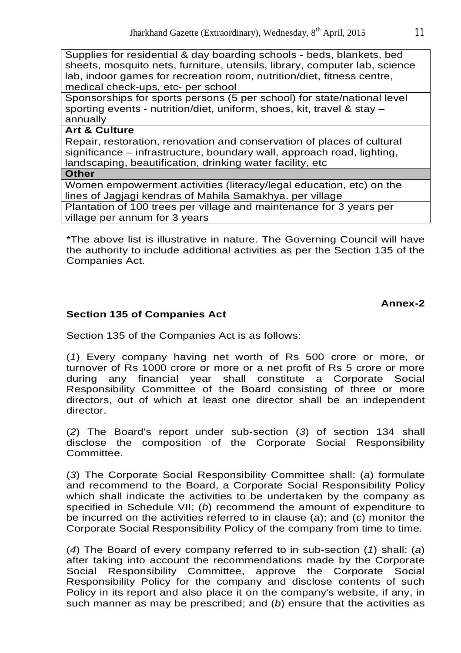Supplies for residential & day boarding schools - beds, blankets, bed sheets, mosquito nets, furniture, utensils, library, computer lab, science lab, indoor games for recreation room, nutrition/diet, fitness centre, medical check-ups, etc- per school

Sponsorships for sports persons (5 per school) for state/national level sporting events - nutrition/diet, uniform, shoes, kit, travel & stay – annually

#### **Art & Culture**

Repair, restoration, renovation and conservation of places of cultural significance – infrastructure, boundary wall, approach road, lighting, landscaping, beautification, drinking water facility, etc

**Other**

Women empowerment activities (literacy/legal education, etc) on the lines of Jagjagi kendras of Mahila Samakhya. per village Plantation of 100 trees per village and maintenance for 3 years per village per annum for 3 years

\*The above list is illustrative in nature. The Governing Council will have the authority to include additional activities as per the Section 135 of the Companies Act.

## **Annex-2**

## **Section 135 of Companies Act**

Section 135 of the Companies Act is as follows:

(*1*) Every company having net worth of Rs 500 crore or more, or turnover of Rs 1000 crore or more or a net profit of Rs 5 crore or more during any financial year shall constitute a Corporate Social Responsibility Committee of the Board consisting of three or more directors, out of which at least one director shall be an independent director.

(*2*) The Board's report under sub-section (*3*) of section 134 shall disclose the composition of the Corporate Social Responsibility Committee.

(*3*) The Corporate Social Responsibility Committee shall: (*a*) formulate and recommend to the Board, a Corporate Social Responsibility Policy which shall indicate the activities to be undertaken by the company as specified in Schedule VII; (*b*) recommend the amount of expenditure to be incurred on the activities referred to in clause (*a*); and (*c*) monitor the Corporate Social Responsibility Policy of the company from time to time.

(*4*) The Board of every company referred to in sub-section (*1*) shall: (*a*) after taking into account the recommendations made by the Corporate Social Responsibility Committee, approve the Corporate Social Responsibility Policy for the company and disclose contents of such Policy in its report and also place it on the company's website, if any, in such manner as may be prescribed; and (*b*) ensure that the activities as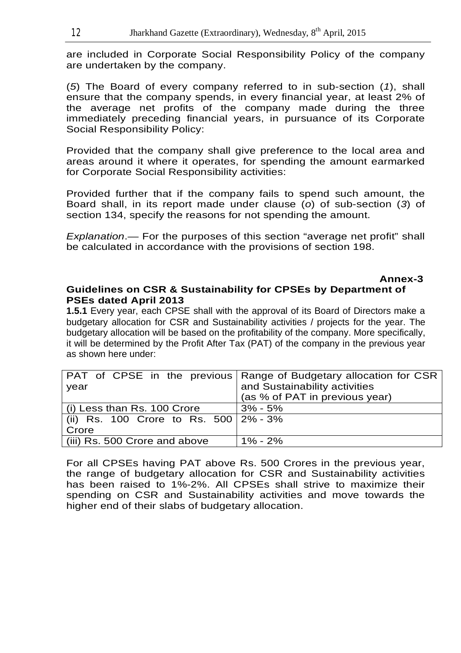are included in Corporate Social Responsibility Policy of the company are undertaken by the company.

(*5*) The Board of every company referred to in sub-section (*1*), shall ensure that the company spends, in every financial year, at least 2% of the average net profits of the company made during the three immediately preceding financial years, in pursuance of its Corporate Social Responsibility Policy:

Provided that the company shall give preference to the local area and areas around it where it operates, for spending the amount earmarked for Corporate Social Responsibility activities:

Provided further that if the company fails to spend such amount, the Board shall, in its report made under clause (*o*) of sub-section (*3*) of section 134, specify the reasons for not spending the amount.

*Explanation*.— For the purposes of this section "average net profit" shall be calculated in accordance with the provisions of section 198.

## *Annex-3* **Annex-3**

#### **Guidelines on CSR & Sustainability for CPSEs by Department of PSEs dated April 2013**

**1.5.1** Every year, each CPSE shall with the approval of its Board of Directors make a budgetary allocation for CSR and Sustainability activities / projects for the year. The budgetary allocation will be based on the profitability of the company. More specifically, it will be determined by the Profit After Tax (PAT) of the company in the previous year as shown here under:

|                                         | PAT of CPSE in the previous   Range of Budgetary allocation for CSR |
|-----------------------------------------|---------------------------------------------------------------------|
| year                                    | and Sustainability activities                                       |
|                                         | (as % of PAT in previous year)                                      |
| (i) Less than Rs. 100 Crore             | $3\% - 5\%$                                                         |
| (ii) Rs. 100 Crore to Rs. 500   2% - 3% |                                                                     |
| Crore                                   |                                                                     |
| (iii) Rs. 500 Crore and above           | $1\% - 2\%$                                                         |

For all CPSEs having PAT above Rs. 500 Crores in the previous year, the range of budgetary allocation for CSR and Sustainability activities has been raised to 1%-2%. All CPSEs shall strive to maximize their spending on CSR and Sustainability activities and move towards the higher end of their slabs of budgetary allocation.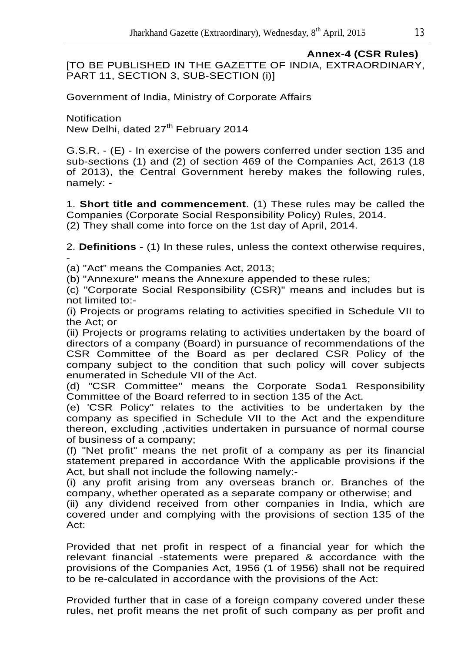**Annex-4 (CSR Rules)** [TO BE PUBLISHED IN THE GAZETTE OF INDIA, EXTRAORDINARY, PART 11, SECTION 3, SUB-SECTION (i)]

Government of India, Ministry of Corporate Affairs

**Notification** New Delhi, dated 27<sup>th</sup> February 2014

G.S.R. - (E) - In exercise of the powers conferred under section 135 and sub-sections (1) and (2) of section 469 of the Companies Act, 2613 (18 of 2013), the Central Government hereby makes the following rules, namely: -

1. **Short title and commencement**. (1) These rules may be called the Companies (Corporate Social Responsibility Policy) Rules, 2014. (2) They shall come into force on the 1st day of April, 2014.

2. **Definitions** - (1) In these rules, unless the context otherwise requires, -

(a) "Act" means the Companies Act, 2013;

(b) "Annexure" means the Annexure appended to these rules;

(c) "Corporate Social Responsibility (CSR)" means and includes but is not limited to:-

(i) Projects or programs relating to activities specified in Schedule VII to the Act; or

(ii) Projects or programs relating to activities undertaken by the board of directors of a company (Board) in pursuance of recommendations of the CSR Committee of the Board as per declared CSR Policy of the company subject to the condition that such policy will cover subjects enumerated in Schedule VII of the Act.

(d) "CSR Committee" means the Corporate Soda1 Responsibility Committee of the Board referred to in section 135 of the Act.

(e) 'CSR Policy" relates to the activities to be undertaken by the company as specified in Schedule VII to the Act and the expenditure thereon, excluding ,activities undertaken in pursuance of normal course of business of a company;

(f) "Net profit" means the net profit of a company as per its financial statement prepared in accordance With the applicable provisions if the Act, but shall not include the following namely:-

(i) any profit arising from any overseas branch or. Branches of the company, whether operated as a separate company or otherwise; and

(ii) any dividend received from other companies in India, which are covered under and complying with the provisions of section 135 of the Act:

Provided that net profit in respect of a financial year for which the relevant financial -statements were prepared & accordance with the provisions of the Companies Act, 1956 (1 of 1956) shall not be required to be re-calculated in accordance with the provisions of the Act:

Provided further that in case of a foreign company covered under these rules, net profit means the net profit of such company as per profit and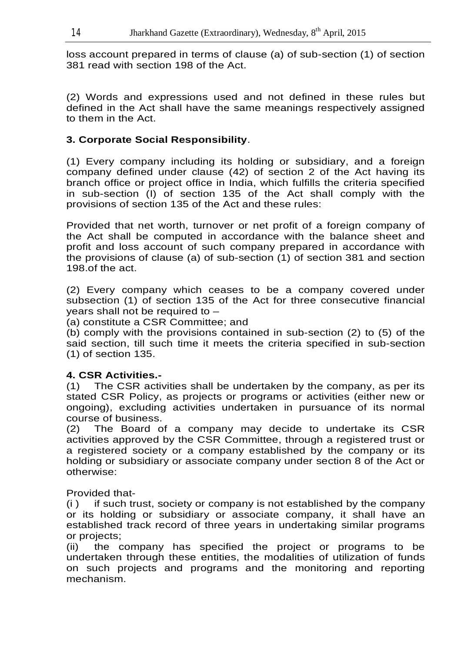loss account prepared in terms of clause (a) of sub-section (1) of section 381 read with section 198 of the Act.

(2) Words and expressions used and not defined in these rules but defined in the Act shall have the same meanings respectively assigned to them in the Act.

## **3. Corporate Social Responsibility**.

(1) Every company including its holding or subsidiary, and a foreign company defined under clause (42) of section 2 of the Act having its branch office or project office in India, which fulfills the criteria specified in sub-section (I) of section 135 of the Act shall comply with the provisions of section 135 of the Act and these rules:

Provided that net worth, turnover or net profit of a foreign company of the Act shall be computed in accordance with the balance sheet and profit and loss account of such company prepared in accordance with the provisions of clause (a) of sub-section (1) of section 381 and section 198.of the act.

(2) Every company which ceases to be a company covered under subsection (1) of section 135 of the Act for three consecutive financial years shall not be required to –

(a) constitute a CSR Committee; and

(b) comply with the provisions contained in sub-section (2) to (5) of the said section, till such time it meets the criteria specified in sub-section (1) of section 135.

## **4. CSR Activities.-**

(1) The CSR activities shall be undertaken by the company, as per its stated CSR Policy, as projects or programs or activities (either new or ongoing), excluding activities undertaken in pursuance of its normal course of business.

(2) The Board of a company may decide to undertake its CSR activities approved by the CSR Committee, through a registered trust or a registered society or a company established by the company or its holding or subsidiary or associate company under section 8 of the Act or otherwise:

Provided that-

(i ) if such trust, society or company is not established by the company or its holding or subsidiary or associate company, it shall have an established track record of three years in undertaking similar programs or projects;

(ii) the company has specified the project or programs to be undertaken through these entities, the modalities of utilization of funds on such projects and programs and the monitoring and reporting mechanism.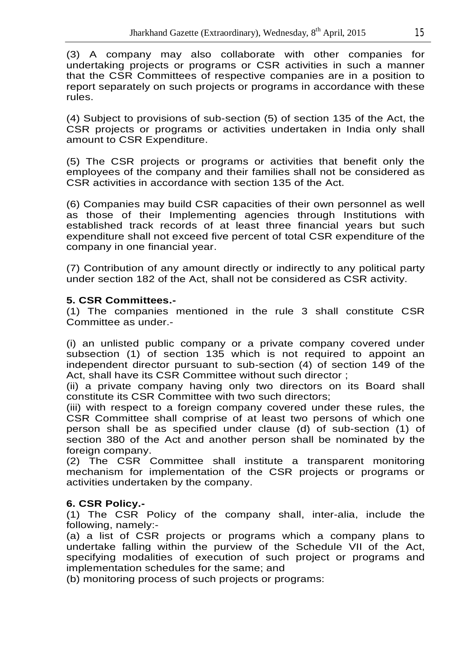(3) A company may also collaborate with other companies for undertaking projects or programs or CSR activities in such a manner that the CSR Committees of respective companies are in a position to report separately on such projects or programs in accordance with these rules.

(4) Subject to provisions of sub-section (5) of section 135 of the Act, the CSR projects or programs or activities undertaken in India only shall amount to CSR Expenditure.

(5) The CSR projects or programs or activities that benefit only the employees of the company and their families shall not be considered as CSR activities in accordance with section 135 of the Act.

(6) Companies may build CSR capacities of their own personnel as well as those of their Implementing agencies through Institutions with established track records of at least three financial years but such expenditure shall not exceed five percent of total CSR expenditure of the company in one financial year.

(7) Contribution of any amount directly or indirectly to any political party under section 182 of the Act, shall not be considered as CSR activity.

## **5. CSR Committees.-**

(1) The companies mentioned in the rule 3 shall constitute CSR Committee as under.-

(i) an unlisted public company or a private company covered under subsection (1) of section 135 which is not required to appoint an independent director pursuant to sub-section (4) of section 149 of the Act, shall have its CSR Committee without such director ;

(ii) a private company having only two directors on its Board shall constitute its CSR Committee with two such directors;

(iii) with respect to a foreign company covered under these rules, the CSR Committee shall comprise of at least two persons of which one person shall be as specified under clause (d) of sub-section (1) of section 380 of the Act and another person shall be nominated by the foreign company.

(2) The CSR Committee shall institute a transparent monitoring mechanism for implementation of the CSR projects or programs or activities undertaken by the company.

## **6. CSR Policy.-**

(1) The CSR Policy of the company shall, inter-alia, include the following, namely:-

(a) a list of CSR projects or programs which a company plans to undertake falling within the purview of the Schedule VII of the Act, specifying modalities of execution of such project or programs and implementation schedules for the same; and

(b) monitoring process of such projects or programs: